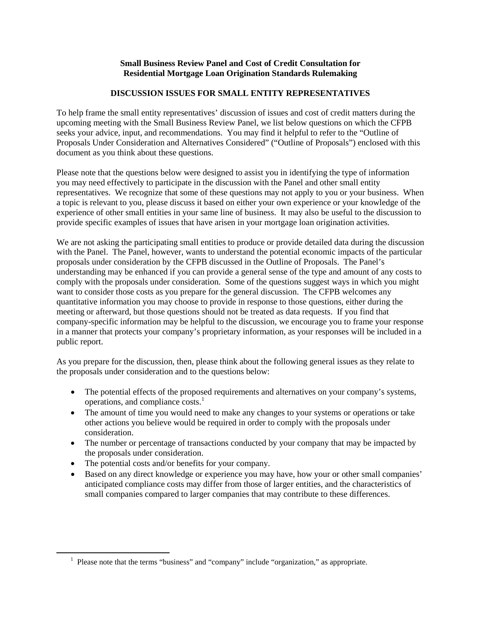# **Small Business Review Panel and Cost of Credit Consultation for Residential Mortgage Loan Origination Standards Rulemaking**

# **DISCUSSION ISSUES FOR SMALL ENTITY REPRESENTATIVES**

To help frame the small entity representatives' discussion of issues and cost of credit matters during the upcoming meeting with the Small Business Review Panel, we list below questions on which the CFPB seeks your advice, input, and recommendations. You may find it helpful to refer to the "Outline of Proposals Under Consideration and Alternatives Considered" ("Outline of Proposals") enclosed with this document as you think about these questions.

Please note that the questions below were designed to assist you in identifying the type of information you may need effectively to participate in the discussion with the Panel and other small entity representatives. We recognize that some of these questions may not apply to you or your business. When a topic is relevant to you, please discuss it based on either your own experience or your knowledge of the experience of other small entities in your same line of business. It may also be useful to the discussion to provide specific examples of issues that have arisen in your mortgage loan origination activities.

We are not asking the participating small entities to produce or provide detailed data during the discussion with the Panel. The Panel, however, wants to understand the potential economic impacts of the particular proposals under consideration by the CFPB discussed in the Outline of Proposals. The Panel's understanding may be enhanced if you can provide a general sense of the type and amount of any costs to comply with the proposals under consideration. Some of the questions suggest ways in which you might want to consider those costs as you prepare for the general discussion. The CFPB welcomes any quantitative information you may choose to provide in response to those questions, either during the meeting or afterward, but those questions should not be treated as data requests. If you find that company-specific information may be helpful to the discussion, we encourage you to frame your response in a manner that protects your company's proprietary information, as your responses will be included in a public report.

As you prepare for the discussion, then, please think about the following general issues as they relate to the proposals under consideration and to the questions below:

- The potential effects of the proposed requirements and alternatives on your company's systems, operations, and compliance  $costs<sup>1</sup>$  $costs<sup>1</sup>$  $costs<sup>1</sup>$
- The amount of time you would need to make any changes to your systems or operations or take other actions you believe would be required in order to comply with the proposals under consideration.
- The number or percentage of transactions conducted by your company that may be impacted by the proposals under consideration.
- The potential costs and/or benefits for your company.
- Based on any direct knowledge or experience you may have, how your or other small companies' anticipated compliance costs may differ from those of larger entities, and the characteristics of small companies compared to larger companies that may contribute to these differences.

<span id="page-0-0"></span><sup>&</sup>lt;sup>1</sup> Please note that the terms "business" and "company" include "organization," as appropriate.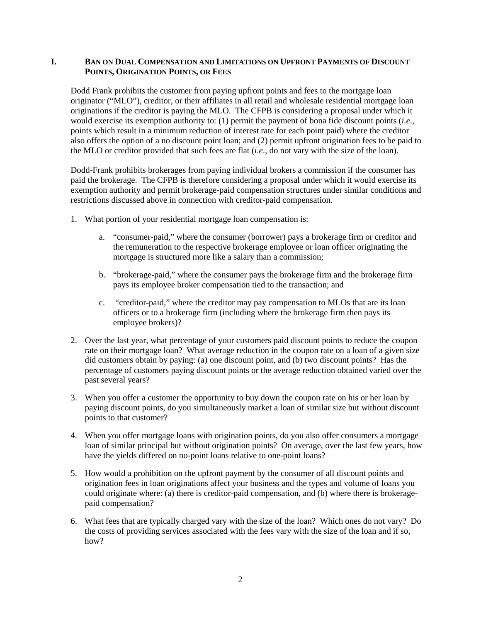# **I. BAN ON DUAL COMPENSATION AND LIMITATIONS ON UPFRONT PAYMENTS OF DISCOUNT POINTS, ORIGINATION POINTS, OR FEES**

Dodd Frank prohibits the customer from paying upfront points and fees to the mortgage loan originator ("MLO"), creditor, or their affiliates in all retail and wholesale residential mortgage loan originations if the creditor is paying the MLO. The CFPB is considering a proposal under which it would exercise its exemption authority to: (1) permit the payment of bona fide discount points (*i.e*., points which result in a minimum reduction of interest rate for each point paid) where the creditor also offers the option of a no discount point loan; and (2) permit upfront origination fees to be paid to the MLO or creditor provided that such fees are flat (*i.e*., do not vary with the size of the loan).

Dodd-Frank prohibits brokerages from paying individual brokers a commission if the consumer has paid the brokerage. The CFPB is therefore considering a proposal under which it would exercise its exemption authority and permit brokerage-paid compensation structures under similar conditions and restrictions discussed above in connection with creditor-paid compensation.

- 1. What portion of your residential mortgage loan compensation is:
	- a. "consumer-paid," where the consumer (borrower) pays a brokerage firm or creditor and the remuneration to the respective brokerage employee or loan officer originating the mortgage is structured more like a salary than a commission;
	- b. "brokerage-paid," where the consumer pays the brokerage firm and the brokerage firm pays its employee broker compensation tied to the transaction; and
	- c. "creditor-paid," where the creditor may pay compensation to MLOs that are its loan officers or to a brokerage firm (including where the brokerage firm then pays its employee brokers)?
- 2. Over the last year, what percentage of your customers paid discount points to reduce the coupon rate on their mortgage loan? What average reduction in the coupon rate on a loan of a given size did customers obtain by paying: (a) one discount point, and (b) two discount points? Has the percentage of customers paying discount points or the average reduction obtained varied over the past several years?
- 3. When you offer a customer the opportunity to buy down the coupon rate on his or her loan by paying discount points, do you simultaneously market a loan of similar size but without discount points to that customer?
- 4. When you offer mortgage loans with origination points, do you also offer consumers a mortgage loan of similar principal but without origination points? On average, over the last few years, how have the yields differed on no-point loans relative to one-point loans?
- 5. How would a prohibition on the upfront payment by the consumer of all discount points and origination fees in loan originations affect your business and the types and volume of loans you could originate where: (a) there is creditor-paid compensation, and (b) where there is brokeragepaid compensation?
- 6. What fees that are typically charged vary with the size of the loan? Which ones do not vary? Do the costs of providing services associated with the fees vary with the size of the loan and if so, how?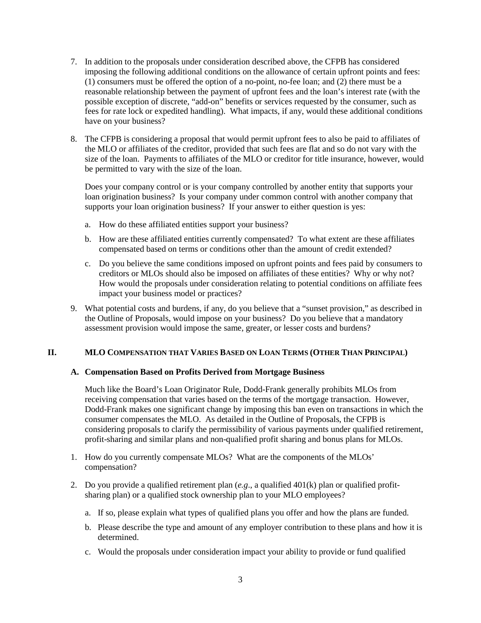- 7. In addition to the proposals under consideration described above, the CFPB has considered imposing the following additional conditions on the allowance of certain upfront points and fees: (1) consumers must be offered the option of a no-point, no-fee loan; and (2) there must be a reasonable relationship between the payment of upfront fees and the loan's interest rate (with the possible exception of discrete, "add-on" benefits or services requested by the consumer, such as fees for rate lock or expedited handling). What impacts, if any, would these additional conditions have on your business?
- 8. The CFPB is considering a proposal that would permit upfront fees to also be paid to affiliates of the MLO or affiliates of the creditor, provided that such fees are flat and so do not vary with the size of the loan. Payments to affiliates of the MLO or creditor for title insurance, however, would be permitted to vary with the size of the loan.

Does your company control or is your company controlled by another entity that supports your loan origination business? Is your company under common control with another company that supports your loan origination business? If your answer to either question is yes:

- a. How do these affiliated entities support your business?
- b. How are these affiliated entities currently compensated? To what extent are these affiliates compensated based on terms or conditions other than the amount of credit extended?
- c. Do you believe the same conditions imposed on upfront points and fees paid by consumers to creditors or MLOs should also be imposed on affiliates of these entities? Why or why not? How would the proposals under consideration relating to potential conditions on affiliate fees impact your business model or practices?
- 9. What potential costs and burdens, if any, do you believe that a "sunset provision," as described in the Outline of Proposals, would impose on your business? Do you believe that a mandatory assessment provision would impose the same, greater, or lesser costs and burdens?

# **II. MLO COMPENSATION THAT VARIES BASED ON LOAN TERMS (OTHER THAN PRINCIPAL)**

# **A. Compensation Based on Profits Derived from Mortgage Business**

Much like the Board's Loan Originator Rule, Dodd-Frank generally prohibits MLOs from receiving compensation that varies based on the terms of the mortgage transaction. However, Dodd-Frank makes one significant change by imposing this ban even on transactions in which the consumer compensates the MLO. As detailed in the Outline of Proposals, the CFPB is considering proposals to clarify the permissibility of various payments under qualified retirement, profit-sharing and similar plans and non-qualified profit sharing and bonus plans for MLOs.

- 1. How do you currently compensate MLOs? What are the components of the MLOs' compensation?
- 2. Do you provide a qualified retirement plan (*e.g*., a qualified 401(k) plan or qualified profitsharing plan) or a qualified stock ownership plan to your MLO employees?
	- a. If so, please explain what types of qualified plans you offer and how the plans are funded.
	- b. Please describe the type and amount of any employer contribution to these plans and how it is determined.
	- c. Would the proposals under consideration impact your ability to provide or fund qualified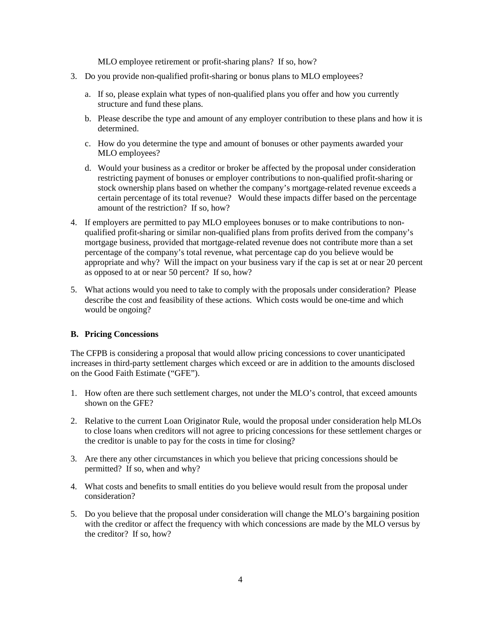MLO employee retirement or profit-sharing plans? If so, how?

- 3. Do you provide non-qualified profit-sharing or bonus plans to MLO employees?
	- a. If so, please explain what types of non-qualified plans you offer and how you currently structure and fund these plans.
	- b. Please describe the type and amount of any employer contribution to these plans and how it is determined.
	- c. How do you determine the type and amount of bonuses or other payments awarded your MLO employees?
	- d. Would your business as a creditor or broker be affected by the proposal under consideration restricting payment of bonuses or employer contributions to non-qualified profit-sharing or stock ownership plans based on whether the company's mortgage-related revenue exceeds a certain percentage of its total revenue? Would these impacts differ based on the percentage amount of the restriction? If so, how?
- 4. If employers are permitted to pay MLO employees bonuses or to make contributions to nonqualified profit-sharing or similar non-qualified plans from profits derived from the company's mortgage business, provided that mortgage-related revenue does not contribute more than a set percentage of the company's total revenue, what percentage cap do you believe would be appropriate and why? Will the impact on your business vary if the cap is set at or near 20 percent as opposed to at or near 50 percent? If so, how?
- 5. What actions would you need to take to comply with the proposals under consideration? Please describe the cost and feasibility of these actions. Which costs would be one-time and which would be ongoing?

# **B. Pricing Concessions**

The CFPB is considering a proposal that would allow pricing concessions to cover unanticipated increases in third-party settlement charges which exceed or are in addition to the amounts disclosed on the Good Faith Estimate ("GFE").

- 1. How often are there such settlement charges, not under the MLO's control, that exceed amounts shown on the GFE?
- 2. Relative to the current Loan Originator Rule, would the proposal under consideration help MLOs to close loans when creditors will not agree to pricing concessions for these settlement charges or the creditor is unable to pay for the costs in time for closing?
- 3. Are there any other circumstances in which you believe that pricing concessions should be permitted? If so, when and why?
- 4. What costs and benefits to small entities do you believe would result from the proposal under consideration?
- 5. Do you believe that the proposal under consideration will change the MLO's bargaining position with the creditor or affect the frequency with which concessions are made by the MLO versus by the creditor? If so, how?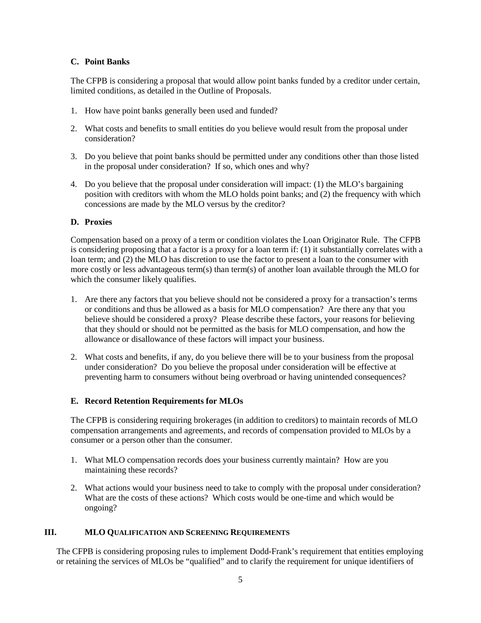# **C. Point Banks**

The CFPB is considering a proposal that would allow point banks funded by a creditor under certain, limited conditions, as detailed in the Outline of Proposals.

- 1. How have point banks generally been used and funded?
- 2. What costs and benefits to small entities do you believe would result from the proposal under consideration?
- 3. Do you believe that point banks should be permitted under any conditions other than those listed in the proposal under consideration? If so, which ones and why?
- 4. Do you believe that the proposal under consideration will impact: (1) the MLO's bargaining position with creditors with whom the MLO holds point banks; and (2) the frequency with which concessions are made by the MLO versus by the creditor?

# **D. Proxies**

Compensation based on a proxy of a term or condition violates the Loan Originator Rule. The CFPB is considering proposing that a factor is a proxy for a loan term if: (1) it substantially correlates with a loan term; and (2) the MLO has discretion to use the factor to present a loan to the consumer with more costly or less advantageous term(s) than term(s) of another loan available through the MLO for which the consumer likely qualifies.

- 1. Are there any factors that you believe should not be considered a proxy for a transaction's terms or conditions and thus be allowed as a basis for MLO compensation? Are there any that you believe should be considered a proxy? Please describe these factors, your reasons for believing that they should or should not be permitted as the basis for MLO compensation, and how the allowance or disallowance of these factors will impact your business.
- 2. What costs and benefits, if any, do you believe there will be to your business from the proposal under consideration? Do you believe the proposal under consideration will be effective at preventing harm to consumers without being overbroad or having unintended consequences?

# **E. Record Retention Requirements for MLOs**

The CFPB is considering requiring brokerages (in addition to creditors) to maintain records of MLO compensation arrangements and agreements, and records of compensation provided to MLOs by a consumer or a person other than the consumer.

- 1. What MLO compensation records does your business currently maintain? How are you maintaining these records?
- 2. What actions would your business need to take to comply with the proposal under consideration? What are the costs of these actions? Which costs would be one-time and which would be ongoing?

# **III. MLO QUALIFICATION AND SCREENING REQUIREMENTS**

The CFPB is considering proposing rules to implement Dodd-Frank's requirement that entities employing or retaining the services of MLOs be "qualified" and to clarify the requirement for unique identifiers of